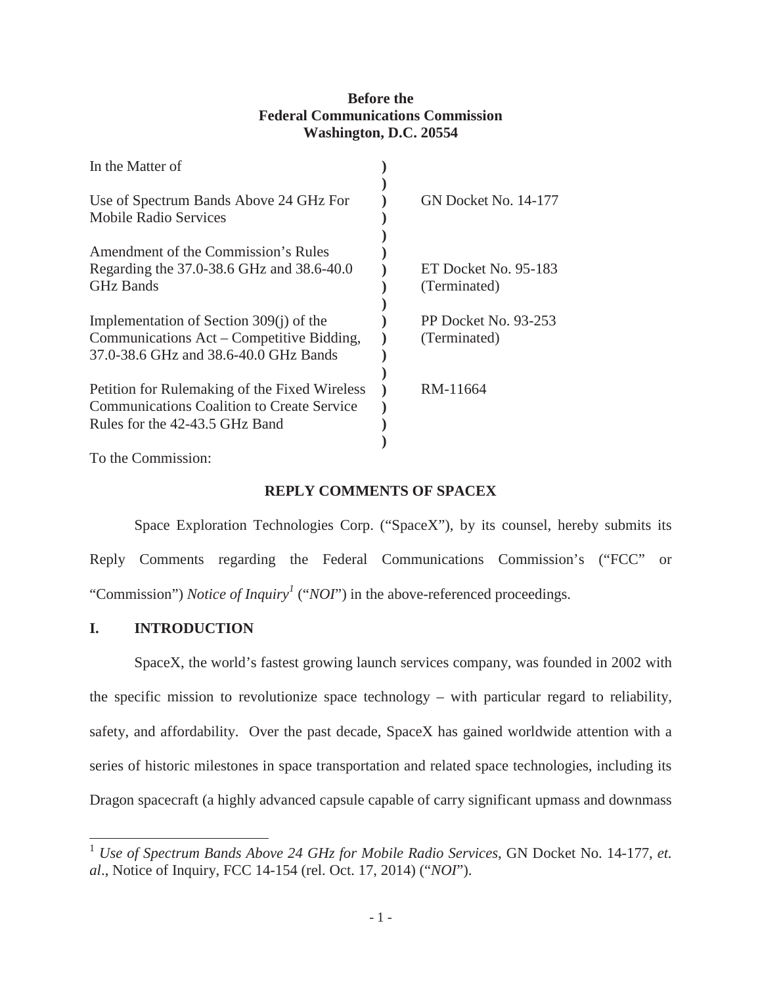## **Before the Federal Communications Commission Washington, D.C. 20554**

| In the Matter of                                  |                      |
|---------------------------------------------------|----------------------|
|                                                   | GN Docket No. 14-177 |
| Use of Spectrum Bands Above 24 GHz For            |                      |
| <b>Mobile Radio Services</b>                      |                      |
|                                                   |                      |
| Amendment of the Commission's Rules               |                      |
| Regarding the 37.0-38.6 GHz and 38.6-40.0         | ET Docket No. 95-183 |
| <b>GHz Bands</b>                                  | (Terminated)         |
|                                                   |                      |
| Implementation of Section $309(i)$ of the         | PP Docket No. 93-253 |
| Communications Act – Competitive Bidding,         | (Terminated)         |
| 37.0-38.6 GHz and 38.6-40.0 GHz Bands             |                      |
|                                                   |                      |
|                                                   |                      |
| Petition for Rulemaking of the Fixed Wireless     | RM-11664             |
| <b>Communications Coalition to Create Service</b> |                      |
| Rules for the 42-43.5 GHz Band                    |                      |
|                                                   |                      |
|                                                   |                      |

To the Commission:

# **REPLY COMMENTS OF SPACEX**

Space Exploration Technologies Corp. ("SpaceX"), by its counsel, hereby submits its Reply Comments regarding the Federal Communications Commission's ("FCC" or "Commission") *Notice of Inquiry<sup>1</sup>* ("*NOI*") in the above-referenced proceedings.

## **I. INTRODUCTION**

SpaceX, the world's fastest growing launch services company, was founded in 2002 with the specific mission to revolutionize space technology – with particular regard to reliability, safety, and affordability. Over the past decade, SpaceX has gained worldwide attention with a series of historic milestones in space transportation and related space technologies, including its Dragon spacecraft (a highly advanced capsule capable of carry significant upmass and downmass

<sup>1</sup> *Use of Spectrum Bands Above 24 GHz for Mobile Radio Services*, GN Docket No. 14-177, *et. al*., Notice of Inquiry, FCC 14-154 (rel. Oct. 17, 2014) ("*NOI*").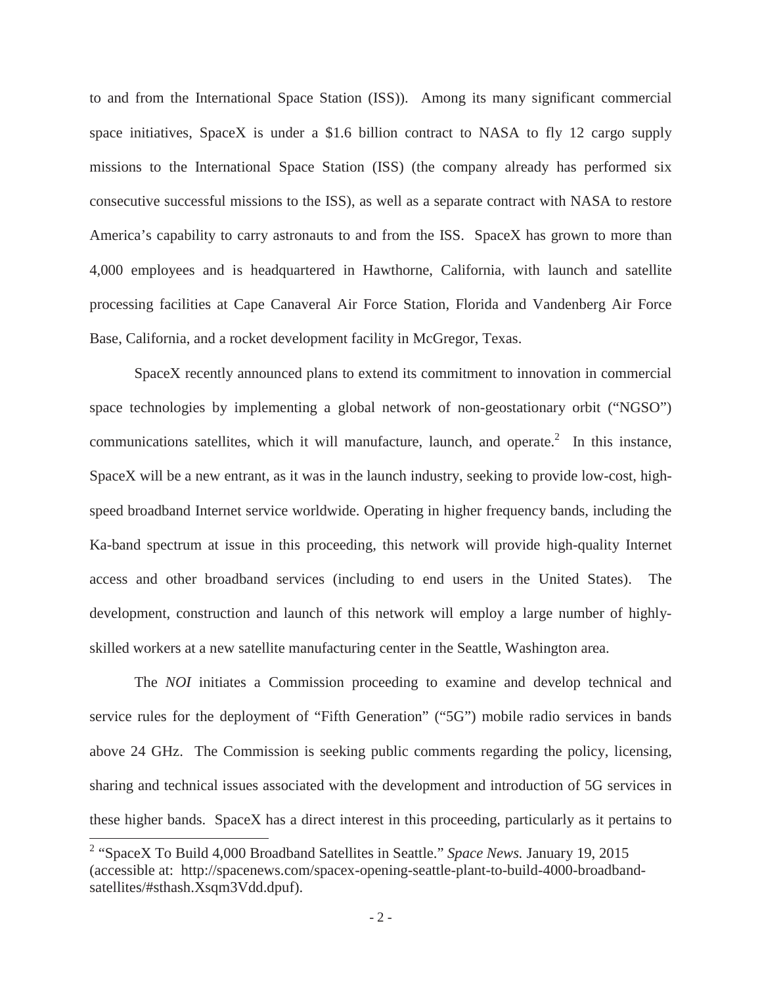to and from the International Space Station (ISS)). Among its many significant commercial space initiatives, SpaceX is under a \$1.6 billion contract to NASA to fly 12 cargo supply missions to the International Space Station (ISS) (the company already has performed six consecutive successful missions to the ISS), as well as a separate contract with NASA to restore America's capability to carry astronauts to and from the ISS. SpaceX has grown to more than 4,000 employees and is headquartered in Hawthorne, California, with launch and satellite processing facilities at Cape Canaveral Air Force Station, Florida and Vandenberg Air Force Base, California, and a rocket development facility in McGregor, Texas.

SpaceX recently announced plans to extend its commitment to innovation in commercial space technologies by implementing a global network of non-geostationary orbit ("NGSO") communications satellites, which it will manufacture, launch, and operate.<sup>2</sup> In this instance, SpaceX will be a new entrant, as it was in the launch industry, seeking to provide low-cost, highspeed broadband Internet service worldwide. Operating in higher frequency bands, including the Ka-band spectrum at issue in this proceeding, this network will provide high-quality Internet access and other broadband services (including to end users in the United States). The development, construction and launch of this network will employ a large number of highlyskilled workers at a new satellite manufacturing center in the Seattle, Washington area.

The *NOI* initiates a Commission proceeding to examine and develop technical and service rules for the deployment of "Fifth Generation" ("5G") mobile radio services in bands above 24 GHz. The Commission is seeking public comments regarding the policy, licensing, sharing and technical issues associated with the development and introduction of 5G services in these higher bands. SpaceX has a direct interest in this proceeding, particularly as it pertains to

<sup>2</sup> "SpaceX To Build 4,000 Broadband Satellites in Seattle." *Space News.* January 19, 2015 (accessible at: http://spacenews.com/spacex-opening-seattle-plant-to-build-4000-broadbandsatellites/#sthash.Xsqm3Vdd.dpuf).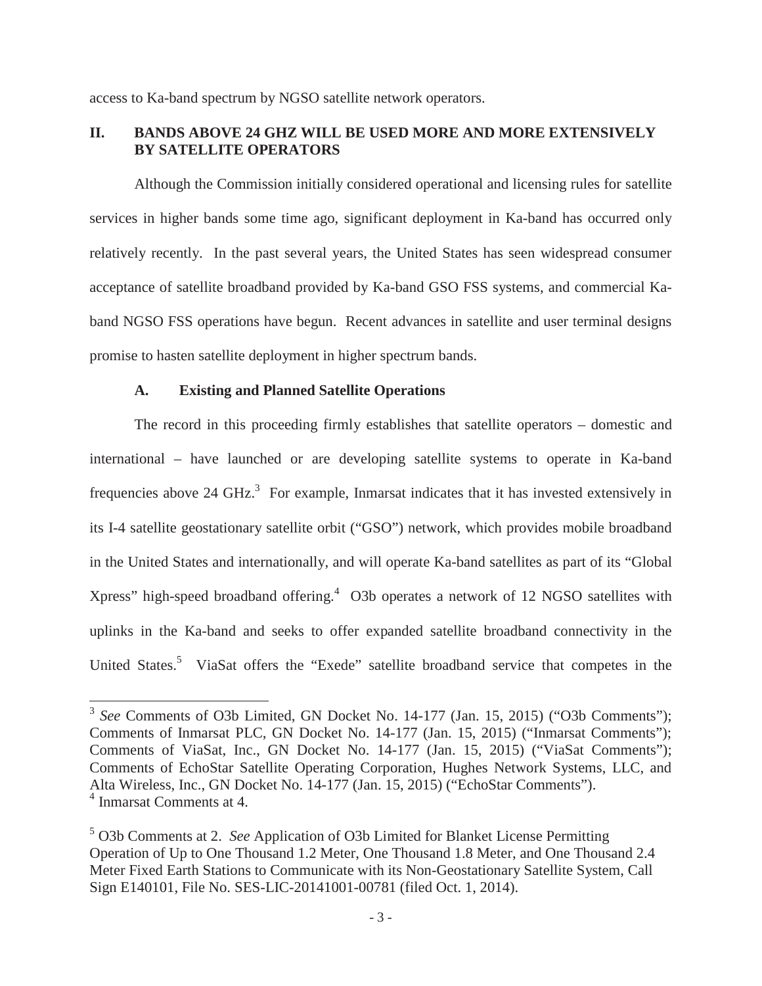access to Ka-band spectrum by NGSO satellite network operators.

## **II. BANDS ABOVE 24 GHZ WILL BE USED MORE AND MORE EXTENSIVELY BY SATELLITE OPERATORS**

Although the Commission initially considered operational and licensing rules for satellite services in higher bands some time ago, significant deployment in Ka-band has occurred only relatively recently. In the past several years, the United States has seen widespread consumer acceptance of satellite broadband provided by Ka-band GSO FSS systems, and commercial Kaband NGSO FSS operations have begun. Recent advances in satellite and user terminal designs promise to hasten satellite deployment in higher spectrum bands.

### **A. Existing and Planned Satellite Operations**

The record in this proceeding firmly establishes that satellite operators – domestic and international – have launched or are developing satellite systems to operate in Ka-band frequencies above 24 GHz. $3$  For example, Inmarsat indicates that it has invested extensively in its I-4 satellite geostationary satellite orbit ("GSO") network, which provides mobile broadband in the United States and internationally, and will operate Ka-band satellites as part of its "Global Xpress" high-speed broadband offering.<sup>4</sup> O3b operates a network of 12 NGSO satellites with uplinks in the Ka-band and seeks to offer expanded satellite broadband connectivity in the United States.<sup>5</sup> ViaSat offers the "Exede" satellite broadband service that competes in the

<sup>&</sup>lt;sup>3</sup> *See* Comments of O3b Limited, GN Docket No. 14-177 (Jan. 15, 2015) ("O3b Comments"); Comments of Inmarsat PLC, GN Docket No. 14-177 (Jan. 15, 2015) ("Inmarsat Comments"); Comments of ViaSat, Inc., GN Docket No. 14-177 (Jan. 15, 2015) ("ViaSat Comments"); Comments of EchoStar Satellite Operating Corporation, Hughes Network Systems, LLC, and Alta Wireless, Inc., GN Docket No. 14-177 (Jan. 15, 2015) ("EchoStar Comments"). <sup>4</sup> Inmarsat Comments at 4.

<sup>5</sup> O3b Comments at 2. *See* Application of O3b Limited for Blanket License Permitting Operation of Up to One Thousand 1.2 Meter, One Thousand 1.8 Meter, and One Thousand 2.4 Meter Fixed Earth Stations to Communicate with its Non-Geostationary Satellite System, Call Sign E140101, File No. SES-LIC-20141001-00781 (filed Oct. 1, 2014).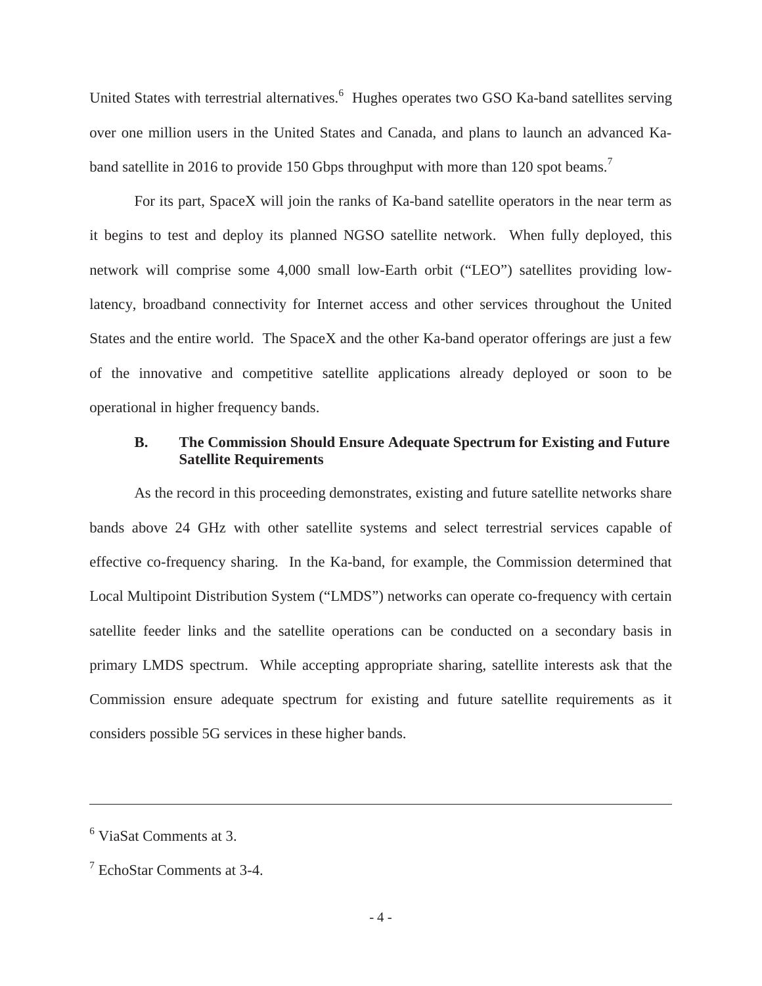United States with terrestrial alternatives.<sup>6</sup> Hughes operates two GSO Ka-band satellites serving over one million users in the United States and Canada, and plans to launch an advanced Kaband satellite in 2016 to provide 150 Gbps throughput with more than 120 spot beams.<sup>7</sup>

For its part, SpaceX will join the ranks of Ka-band satellite operators in the near term as it begins to test and deploy its planned NGSO satellite network. When fully deployed, this network will comprise some 4,000 small low-Earth orbit ("LEO") satellites providing lowlatency, broadband connectivity for Internet access and other services throughout the United States and the entire world. The SpaceX and the other Ka-band operator offerings are just a few of the innovative and competitive satellite applications already deployed or soon to be operational in higher frequency bands.

### **B. The Commission Should Ensure Adequate Spectrum for Existing and Future Satellite Requirements**

As the record in this proceeding demonstrates, existing and future satellite networks share bands above 24 GHz with other satellite systems and select terrestrial services capable of effective co-frequency sharing. In the Ka-band, for example, the Commission determined that Local Multipoint Distribution System ("LMDS") networks can operate co-frequency with certain satellite feeder links and the satellite operations can be conducted on a secondary basis in primary LMDS spectrum. While accepting appropriate sharing, satellite interests ask that the Commission ensure adequate spectrum for existing and future satellite requirements as it considers possible 5G services in these higher bands.

<sup>6</sup> ViaSat Comments at 3.

 $7$  EchoStar Comments at 3-4.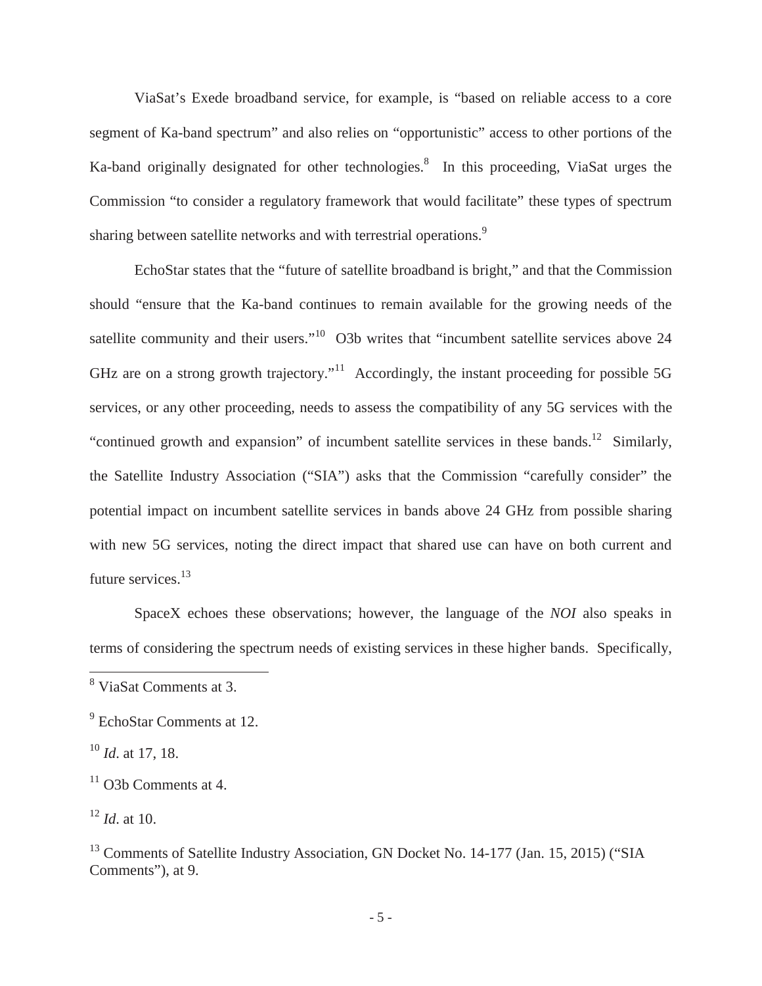ViaSat's Exede broadband service, for example, is "based on reliable access to a core segment of Ka-band spectrum" and also relies on "opportunistic" access to other portions of the Ka-band originally designated for other technologies.<sup>8</sup> In this proceeding, ViaSat urges the Commission "to consider a regulatory framework that would facilitate" these types of spectrum sharing between satellite networks and with terrestrial operations.<sup>9</sup>

EchoStar states that the "future of satellite broadband is bright," and that the Commission should "ensure that the Ka-band continues to remain available for the growing needs of the satellite community and their users."<sup>10</sup> O3b writes that "incumbent satellite services above 24 GHz are on a strong growth trajectory."<sup>11</sup> Accordingly, the instant proceeding for possible 5G services, or any other proceeding, needs to assess the compatibility of any 5G services with the "continued growth and expansion" of incumbent satellite services in these bands.<sup>12</sup> Similarly, the Satellite Industry Association ("SIA") asks that the Commission "carefully consider" the potential impact on incumbent satellite services in bands above 24 GHz from possible sharing with new 5G services, noting the direct impact that shared use can have on both current and future services.<sup>13</sup>

SpaceX echoes these observations; however, the language of the *NOI* also speaks in terms of considering the spectrum needs of existing services in these higher bands. Specifically,

<sup>8</sup> ViaSat Comments at 3.

<sup>&</sup>lt;sup>9</sup> EchoStar Comments at 12.

<sup>10</sup> *Id*. at 17, 18.

 $11$  O3b Comments at 4.

 $12$  *Id.* at 10.

<sup>&</sup>lt;sup>13</sup> Comments of Satellite Industry Association, GN Docket No. 14-177 (Jan. 15, 2015) ("SIA Comments"), at 9.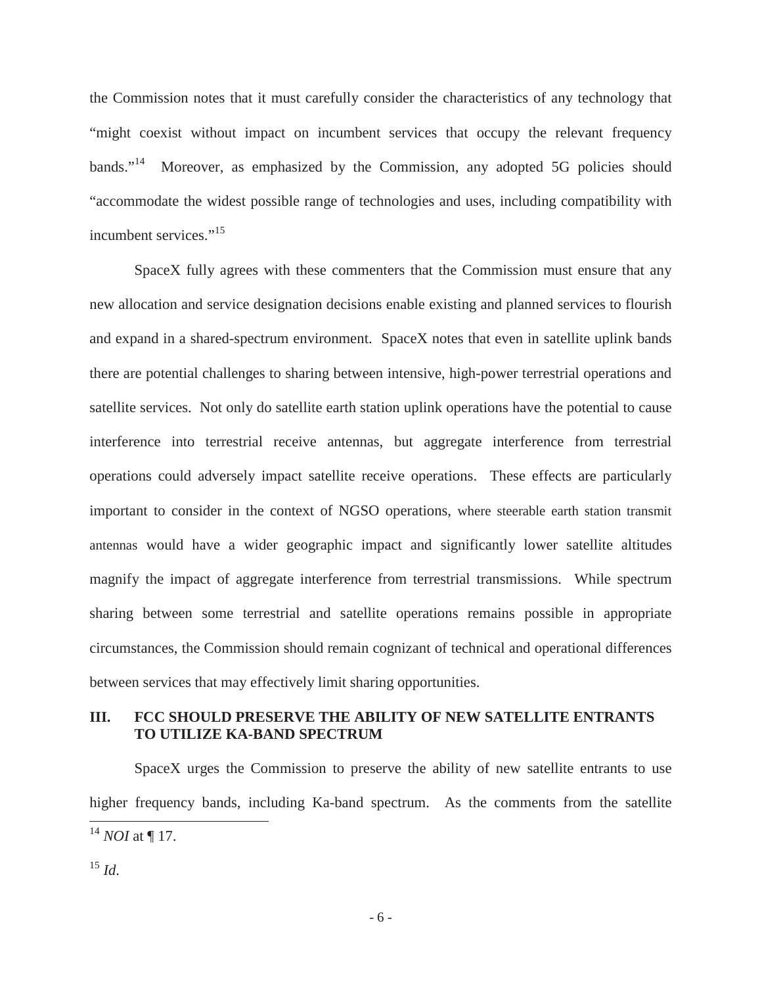the Commission notes that it must carefully consider the characteristics of any technology that "might coexist without impact on incumbent services that occupy the relevant frequency bands."<sup>14</sup> Moreover, as emphasized by the Commission, any adopted 5G policies should "accommodate the widest possible range of technologies and uses, including compatibility with incumbent services."<sup>15</sup>

SpaceX fully agrees with these commenters that the Commission must ensure that any new allocation and service designation decisions enable existing and planned services to flourish and expand in a shared-spectrum environment. SpaceX notes that even in satellite uplink bands there are potential challenges to sharing between intensive, high-power terrestrial operations and satellite services. Not only do satellite earth station uplink operations have the potential to cause interference into terrestrial receive antennas, but aggregate interference from terrestrial operations could adversely impact satellite receive operations. These effects are particularly important to consider in the context of NGSO operations, where steerable earth station transmit antennas would have a wider geographic impact and significantly lower satellite altitudes magnify the impact of aggregate interference from terrestrial transmissions. While spectrum sharing between some terrestrial and satellite operations remains possible in appropriate circumstances, the Commission should remain cognizant of technical and operational differences between services that may effectively limit sharing opportunities.

## **III. FCC SHOULD PRESERVE THE ABILITY OF NEW SATELLITE ENTRANTS TO UTILIZE KA-BAND SPECTRUM**

SpaceX urges the Commission to preserve the ability of new satellite entrants to use higher frequency bands, including Ka-band spectrum. As the comments from the satellite <sup>14</sup> *NOI* at ¶ 17.

<sup>15</sup> *Id*.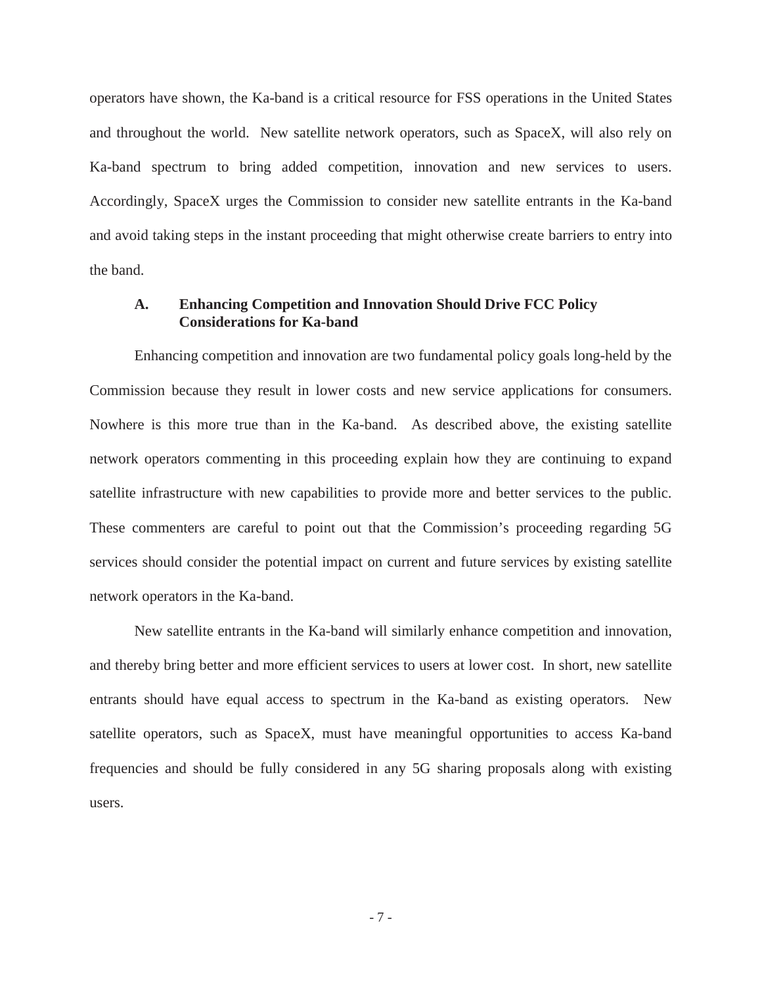operators have shown, the Ka-band is a critical resource for FSS operations in the United States and throughout the world. New satellite network operators, such as SpaceX, will also rely on Ka-band spectrum to bring added competition, innovation and new services to users. Accordingly, SpaceX urges the Commission to consider new satellite entrants in the Ka-band and avoid taking steps in the instant proceeding that might otherwise create barriers to entry into the band.

#### **A. Enhancing Competition and Innovation Should Drive FCC Policy Considerations for Ka-band**

Enhancing competition and innovation are two fundamental policy goals long-held by the Commission because they result in lower costs and new service applications for consumers. Nowhere is this more true than in the Ka-band. As described above, the existing satellite network operators commenting in this proceeding explain how they are continuing to expand satellite infrastructure with new capabilities to provide more and better services to the public. These commenters are careful to point out that the Commission's proceeding regarding 5G services should consider the potential impact on current and future services by existing satellite network operators in the Ka-band.

New satellite entrants in the Ka-band will similarly enhance competition and innovation, and thereby bring better and more efficient services to users at lower cost. In short, new satellite entrants should have equal access to spectrum in the Ka-band as existing operators. New satellite operators, such as SpaceX, must have meaningful opportunities to access Ka-band frequencies and should be fully considered in any 5G sharing proposals along with existing users.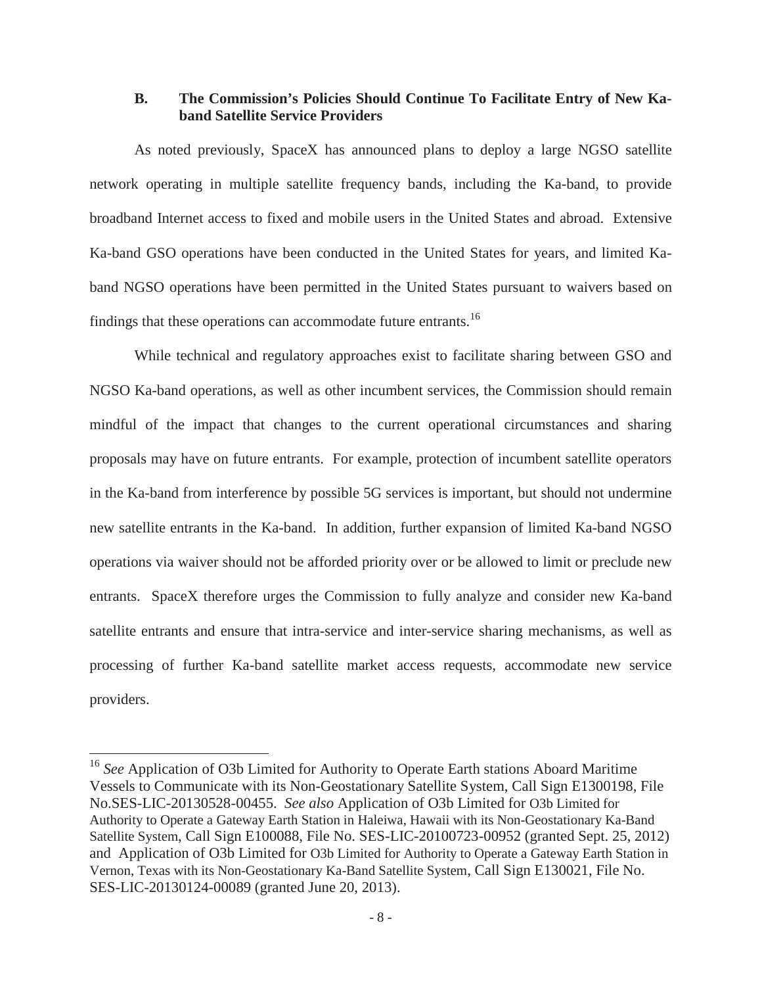### **B. The Commission's Policies Should Continue To Facilitate Entry of New Kaband Satellite Service Providers**

As noted previously, SpaceX has announced plans to deploy a large NGSO satellite network operating in multiple satellite frequency bands, including the Ka-band, to provide broadband Internet access to fixed and mobile users in the United States and abroad. Extensive Ka-band GSO operations have been conducted in the United States for years, and limited Kaband NGSO operations have been permitted in the United States pursuant to waivers based on findings that these operations can accommodate future entrants.<sup>16</sup>

While technical and regulatory approaches exist to facilitate sharing between GSO and NGSO Ka-band operations, as well as other incumbent services, the Commission should remain mindful of the impact that changes to the current operational circumstances and sharing proposals may have on future entrants. For example, protection of incumbent satellite operators in the Ka-band from interference by possible 5G services is important, but should not undermine new satellite entrants in the Ka-band. In addition, further expansion of limited Ka-band NGSO operations via waiver should not be afforded priority over or be allowed to limit or preclude new entrants. SpaceX therefore urges the Commission to fully analyze and consider new Ka-band satellite entrants and ensure that intra-service and inter-service sharing mechanisms, as well as processing of further Ka-band satellite market access requests, accommodate new service providers.

<sup>&</sup>lt;sup>16</sup> See Application of O3b Limited for Authority to Operate Earth stations Aboard Maritime Vessels to Communicate with its Non-Geostationary Satellite System, Call Sign E1300198, File No.SES-LIC-20130528-00455. *See also* Application of O3b Limited for O3b Limited for Authority to Operate a Gateway Earth Station in Haleiwa, Hawaii with its Non-Geostationary Ka-Band Satellite System, Call Sign E100088, File No. SES-LIC-20100723-00952 (granted Sept. 25, 2012) and Application of O3b Limited for O3b Limited for Authority to Operate a Gateway Earth Station in Vernon, Texas with its Non-Geostationary Ka-Band Satellite System, Call Sign E130021, File No. SES-LIC-20130124-00089 (granted June 20, 2013).